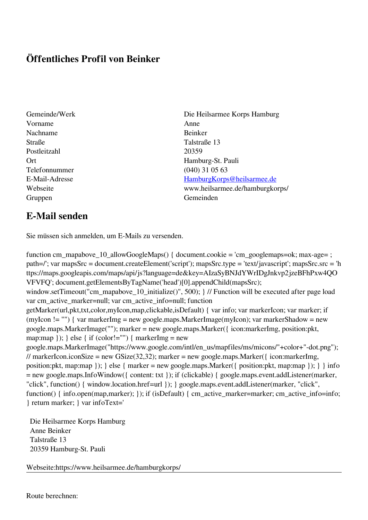## **Öffentliches Profil von Beinker**

- Vorname Anne Nachname Beinker Straße Talstraße 13 Postleitzahl 20359 Telefonnummer (040) 31 05 63 Gruppen Gemeinden Gemeinden Gemeinden Gemeinden Gemeinden Gemeinden Gemeinden Gemeinden Gemeinden Gemeinden G
- Gemeinde/Werk Die Heilsarmee Korps Hamburg Ort Hamburg-St. Pauli E-Mail-Adresse [HamburgKorps@heilsarmee.de](mailto:HamburgKorps@heilsarmee.de) Webseite www.heilsarmee.de/hamburgkorps/

## **E-Mail senden**

Sie müssen sich anmelden, um E-Mails zu versenden.

function cm\_mapabove\_10\_allowGoogleMaps() { document.cookie = 'cm\_googlemaps=ok; max-age= ; path=/'; var mapsSrc = document.createElement('script'); mapsSrc.type = 'text/javascript'; mapsSrc.src = 'h ttps://maps.googleapis.com/maps/api/js?language=de&key=AIzaSyBNJdYWrIDgJnkvp2jzeBFhPxw4QO VFVFQ'; document.getElementsByTagName('head')[0].appendChild(mapsSrc); window.setTimeout("cm\_mapabove\_10\_initialize()", 500); } // Function will be executed after page load var cm\_active\_marker=null; var cm\_active\_info=null; function getMarker(url,pkt,txt,color,myIcon,map,clickable,isDefault) { var info; var markerIcon; var marker; if (myIcon != "") { var markerImg = new google.maps.MarkerImage(myIcon); var markerShadow = new google.maps.MarkerImage(""); marker = new google.maps.Marker({ icon:markerImg, position:pkt, map:map  $\}$ ;  $\}$  else  $\{$  if (color!="")  $\{$  markerImg = new google.maps.MarkerImage("https://www.google.com/intl/en\_us/mapfiles/ms/micons/"+color+"-dot.png"); // markerIcon.iconSize = new GSize(32,32); marker = new google.maps.Marker({ $i$ con:markerImg, position:pkt, map:map }); } else { marker = new google.maps.Marker({ position:pkt, map:map }); } } info = new google.maps.InfoWindow({ content: txt }); if (clickable) { google.maps.event.addListener(marker, "click", function() { window.location.href=url }); } google.maps.event.addListener(marker, "click", function() { info.open(map,marker); }); if (isDefault) { cm\_active\_marker=marker; cm\_active\_info=info; } return marker; } var infoText='

 Die Heilsarmee Korps Hamburg Anne Beinker Talstraße 13 20359 Hamburg-St. Pauli

Webseite:https://www.heilsarmee.de/hamburgkorps/